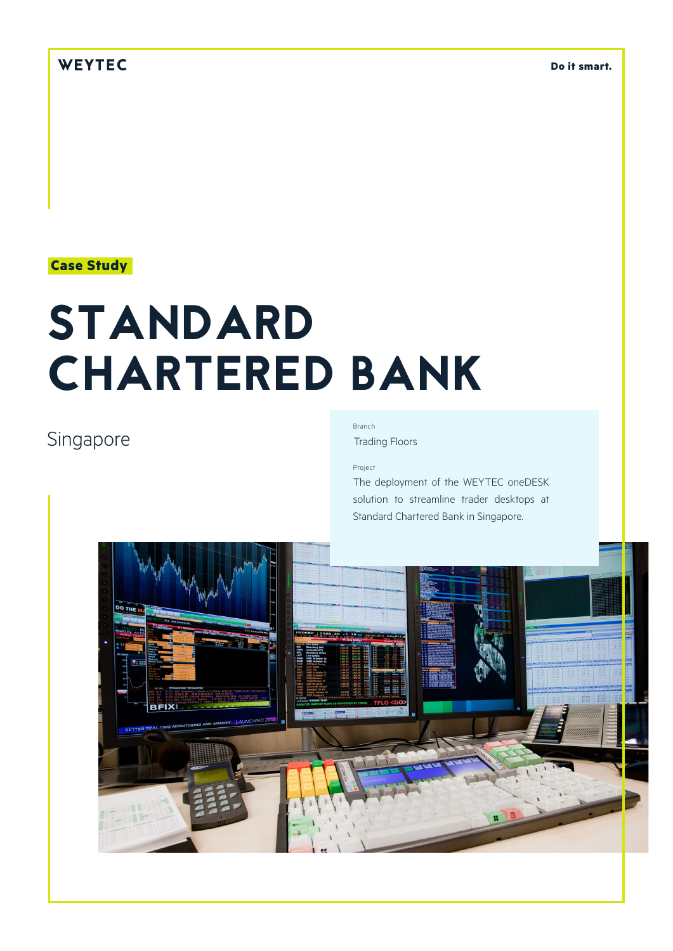## WEYTEC

**Do it smart.**

### **Case Study**

# STANDARD CHARTERED BANK

## Singapore

## Branch

Trading Floors

#### Project

The deployment of the WEYTEC oneDESK solution to streamline trader desktops at Standard Chartered Bank in Singapore.

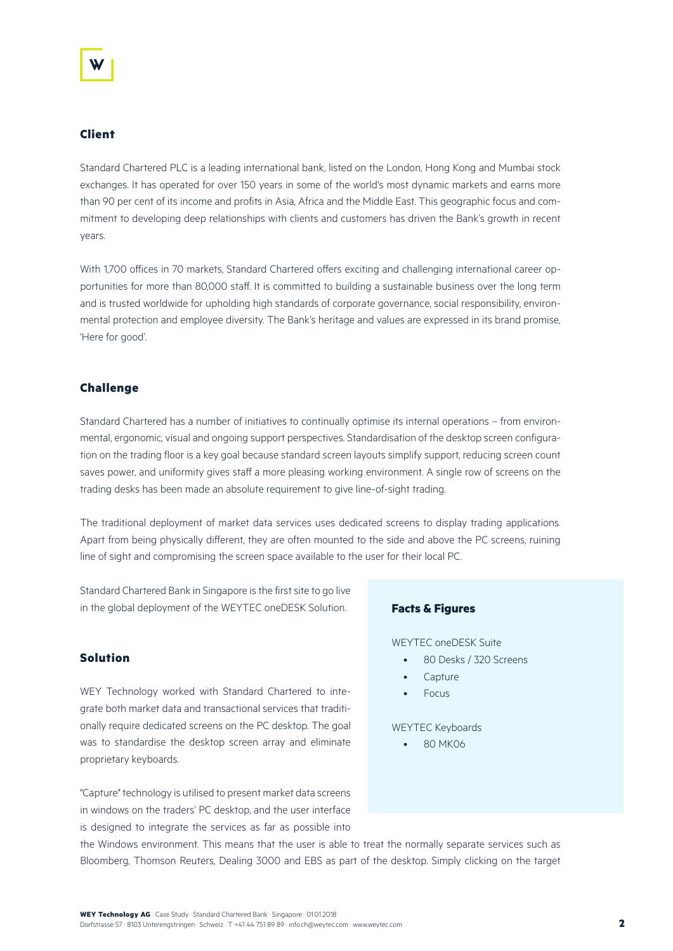#### **Client**

Standard Chartered PLC is a leading international bank, listed on the London, Hong Kong and Mumbai stock exchanges. It has operated for over 150 years in some of the world's most dynamic markets and earns more than 90 per cent of its income and profits in Asia, Africa and the Middle East. This geographic focus and commitment to developing deep relationships with clients and customers has driven the Bank's growth in recent years.

With 1,700 offices in 70 markets, Standard Chartered offers exciting and challenging international career opportunities for more than 80,000 staff. It is committed to building a sustainable business over the long term and is trusted worldwide for upholding high standards of corporate governance, social responsibility, environmental protection and employee diversity. The Bank's heritage and values are expressed in its brand promise, 'Here for good'.

#### **Challenge**

Standard Chartered has a number of initiatives to continually optimise its internal operations – from environmental, ergonomic, visual and ongoing support perspectives. Standardisation of the desktop screen configuration on the trading floor is a key goal because standard screen layouts simplify support, reducing screen count saves power, and uniformity gives staff a more pleasing working environment. A single row of screens on the trading desks has been made an absolute requirement to give line-of-sight trading.

The traditional deployment of market data services uses dedicated screens to display trading applications. Apart from being physically different, they are often mounted to the side and above the PC screens, ruining line of sight and compromising the screen space available to the user for their local PC.

Standard Chartered Bank in Singapore is the first site to go live in the global deployment of the WEYTEC oneDESK Solution.

#### **Solution**

WEY Technology worked with Standard Chartered to integrate both market data and transactional services that traditionally require dedicated screens on the PC desktop. The goal was to standardise the desktop screen array and eliminate proprietary keyboards.

"Capture" technology is utilised to present market data screens in windows on the traders' PC desktop, and the user interface is designed to integrate the services as far as possible into

#### **Facts & Figures**

WEYTEC oneDESK Suite

- 80 Desks / 320 Screens
- **Capture**
- Focus

WEYTEC Keyboards

• 80 MK06

the Windows environment. This means that the user is able to treat the normally separate services such as Bloomberg, Thomson Reuters, Dealing 3000 and EBS as part of the desktop. Simply clicking on the target